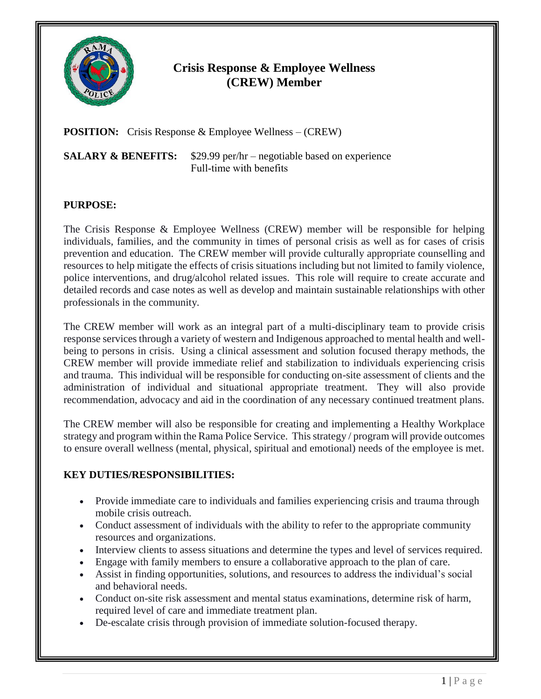

## **Crisis Response & Employee Wellness (CREW) Member**

**POSITION:** Crisis Response & Employee Wellness – (CREW)

**SALARY & BENEFITS:** \$29.99 per/hr – negotiable based on experience Full-time with benefits

## **PURPOSE:**

The Crisis Response & Employee Wellness (CREW) member will be responsible for helping individuals, families, and the community in times of personal crisis as well as for cases of crisis prevention and education. The CREW member will provide culturally appropriate counselling and resources to help mitigate the effects of crisis situations including but not limited to family violence, police interventions, and drug/alcohol related issues. This role will require to create accurate and detailed records and case notes as well as develop and maintain sustainable relationships with other professionals in the community.

The CREW member will work as an integral part of a multi-disciplinary team to provide crisis response services through a variety of western and Indigenous approached to mental health and wellbeing to persons in crisis. Using a clinical assessment and solution focused therapy methods, the CREW member will provide immediate relief and stabilization to individuals experiencing crisis and trauma. This individual will be responsible for conducting on-site assessment of clients and the administration of individual and situational appropriate treatment. They will also provide recommendation, advocacy and aid in the coordination of any necessary continued treatment plans.

The CREW member will also be responsible for creating and implementing a Healthy Workplace strategy and program within the Rama Police Service. This strategy / program will provide outcomes to ensure overall wellness (mental, physical, spiritual and emotional) needs of the employee is met.

## **KEY DUTIES/RESPONSIBILITIES:**

- Provide immediate care to individuals and families experiencing crisis and trauma through mobile crisis outreach.
- Conduct assessment of individuals with the ability to refer to the appropriate community resources and organizations.
- Interview clients to assess situations and determine the types and level of services required.
- Engage with family members to ensure a collaborative approach to the plan of care.
- Assist in finding opportunities, solutions, and resources to address the individual's social and behavioral needs.
- Conduct on-site risk assessment and mental status examinations, determine risk of harm, required level of care and immediate treatment plan.
- De-escalate crisis through provision of immediate solution-focused therapy.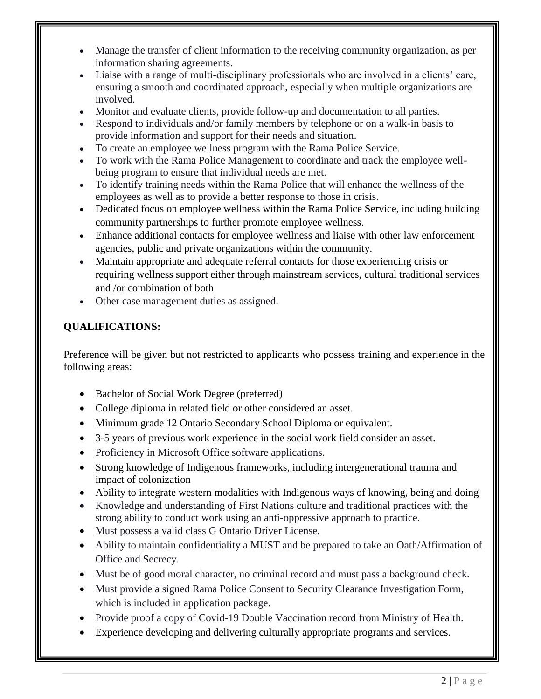- Manage the transfer of client information to the receiving community organization, as per information sharing agreements.
- Liaise with a range of multi-disciplinary professionals who are involved in a clients' care, ensuring a smooth and coordinated approach, especially when multiple organizations are involved.
- Monitor and evaluate clients, provide follow-up and documentation to all parties.
- Respond to individuals and/or family members by telephone or on a walk-in basis to provide information and support for their needs and situation.
- To create an employee wellness program with the Rama Police Service.
- To work with the Rama Police Management to coordinate and track the employee wellbeing program to ensure that individual needs are met.
- To identify training needs within the Rama Police that will enhance the wellness of the employees as well as to provide a better response to those in crisis.
- Dedicated focus on employee wellness within the Rama Police Service, including building community partnerships to further promote employee wellness.
- Enhance additional contacts for employee wellness and liaise with other law enforcement agencies, public and private organizations within the community.
- Maintain appropriate and adequate referral contacts for those experiencing crisis or requiring wellness support either through mainstream services, cultural traditional services and /or combination of both
- Other case management duties as assigned.

## **QUALIFICATIONS:**

Preference will be given but not restricted to applicants who possess training and experience in the following areas:

- Bachelor of Social Work Degree (preferred)
- College diploma in related field or other considered an asset.
- Minimum grade 12 Ontario Secondary School Diploma or equivalent.
- 3-5 years of previous work experience in the social work field consider an asset.
- Proficiency in Microsoft Office software applications.
- Strong knowledge of Indigenous frameworks, including intergenerational trauma and impact of colonization
- Ability to integrate western modalities with Indigenous ways of knowing, being and doing
- Knowledge and understanding of First Nations culture and traditional practices with the strong ability to conduct work using an anti-oppressive approach to practice.
- Must possess a valid class G Ontario Driver License.
- Ability to maintain confidentiality a MUST and be prepared to take an Oath/Affirmation of Office and Secrecy.
- Must be of good moral character, no criminal record and must pass a background check.
- Must provide a signed Rama Police Consent to Security Clearance Investigation Form, which is included in application package.
- Provide proof a copy of Covid-19 Double Vaccination record from Ministry of Health.
- Experience developing and delivering culturally appropriate programs and services.